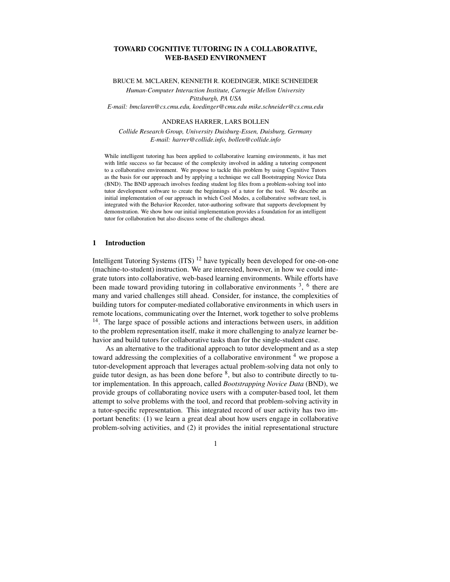# **TOWARD COGNITIVE TUTORING IN A COLLABORATIVE, WEB-BASED ENVIRONMENT**

BRUCE M. MCLAREN, KENNETH R. KOEDINGER, MIKE SCHNEIDER

*Human-Computer Interaction Institute, Carnegie Mellon University Pittsburgh, PA USA E-mail: bmclaren@cs.cmu.edu, koedinger@cmu.edu mike.schneider@cs.cmu.edu*

#### ANDREAS HARRER, LARS BOLLEN

*Collide Research Group, University Duisburg-Essen, Duisburg, Germany E-mail: harrer@collide.info, bollen@collide.info*

While intelligent tutoring has been applied to collaborative learning environments, it has met with little success so far because of the complexity involved in adding a tutoring component to a collaborative environment. We propose to tackle this problem by using Cognitive Tutors as the basis for our approach and by applying a technique we call Bootstrapping Novice Data (BND). The BND approach involves feeding student log files from a problem-solving tool into tutor development software to create the beginnings of a tutor for the tool. We describe an initial implementation of our approach in which Cool Modes, a collaborative software tool, is integrated with the Behavior Recorder, tutor-authoring software that supports development by demonstration. We show how our initial implementation provides a foundation for an intelligent tutor for collaboration but also discuss some of the challenges ahead.

## **1 Introduction**

Intelligent Tutoring Systems (ITS) <sup>12</sup> have typically been developed for one-on-one (machine-to-student) instruction. We are interested, however, in how we could integrate tutors into collaborative, web-based learning environments. While efforts have been made toward providing tutoring in collaborative environments<sup>3</sup>, <sup>6</sup> there are many and varied challenges still ahead. Consider, for instance, the complexities of building tutors for computer-mediated collaborative environments in which users in remote locations, communicating over the Internet, work together to solve problems <sup>14</sup>. The large space of possible actions and interactions between users, in addition to the problem representation itself, make it more challenging to analyze learner behavior and build tutors for collaborative tasks than for the single-student case.

As an alternative to the traditional approach to tutor development and as a step toward addressing the complexities of a collaborative environment <sup>4</sup> we propose a tutor-development approach that leverages actual problem-solving data not only to guide tutor design, as has been done before  $\frac{8}{3}$ , but also to contribute directly to tutor implementation. In this approach, called *Bootstrapping Novice Data* (BND), we provide groups of collaborating novice users with a computer-based tool, let them attempt to solve problems with the tool, and record that problem-solving activity in a tutor-specific representation. This integrated record of user activity has two important benefits: (1) we learn a great deal about how users engage in collaborative problem-solving activities, and (2) it provides the initial representational structure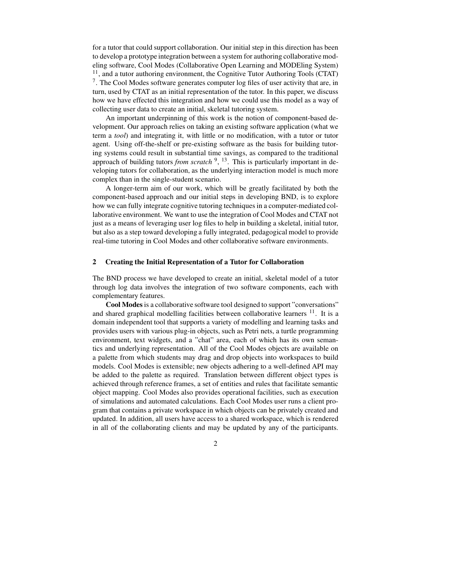for a tutor that could support collaboration. Our initial step in this direction has been to develop a prototype integration between a system for authoring collaborative modeling software, Cool Modes (Collaborative Open Learning and MODEling System) <sup>11</sup>, and a tutor authoring environment, the Cognitive Tutor Authoring Tools (CTAT)  $7$ . The Cool Modes software generates computer log files of user activity that are, in turn, used by CTAT as an initial representation of the tutor. In this paper, we discuss how we have effected this integration and how we could use this model as a way of collecting user data to create an initial, skeletal tutoring system.

An important underpinning of this work is the notion of component-based development. Our approach relies on taking an existing software application (what we term a *tool*) and integrating it, with little or no modification, with a tutor or tutor agent. Using off-the-shelf or pre-existing software as the basis for building tutoring systems could result in substantial time savings, as compared to the traditional approach of building tutors *from scratch* 9 , 13 . This is particularly important in developing tutors for collaboration, as the underlying interaction model is much more complex than in the single-student scenario.

A longer-term aim of our work, which will be greatly facilitated by both the component-based approach and our initial steps in developing BND, is to explore how we can fully integrate cognitive tutoring techniques in a computer-mediated collaborative environment. We want to use the integration of Cool Modes and CTAT not just as a means of leveraging user log files to help in building a skeletal, initial tutor, but also as a step toward developing a fully integrated, pedagogical model to provide real-time tutoring in Cool Modes and other collaborative software environments.

#### **2 Creating the Initial Representation of a Tutor for Collaboration**

The BND process we have developed to create an initial, skeletal model of a tutor through log data involves the integration of two software components, each with complementary features.

**Cool Modes** is a collaborative software tool designed to support "conversations" and shared graphical modelling facilities between collaborative learners <sup>11</sup>. It is a domain independent tool that supports a variety of modelling and learning tasks and provides users with various plug-in objects, such as Petri nets, a turtle programming environment, text widgets, and a "chat" area, each of which has its own semantics and underlying representation. All of the Cool Modes objects are available on a palette from which students may drag and drop objects into workspaces to build models. Cool Modes is extensible; new objects adhering to a well-defined API may be added to the palette as required. Translation between different object types is achieved through reference frames, a set of entities and rules that facilitate semantic object mapping. Cool Modes also provides operational facilities, such as execution of simulations and automated calculations. Each Cool Modes user runs a client program that contains a private workspace in which objects can be privately created and updated. In addition, all users have access to a shared workspace, which is rendered in all of the collaborating clients and may be updated by any of the participants.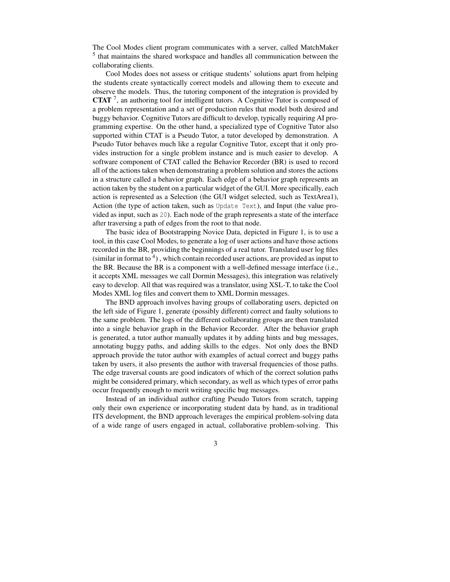The Cool Modes client program communicates with a server, called MatchMaker <sup>5</sup> that maintains the shared workspace and handles all communication between the collaborating clients.

Cool Modes does not assess or critique students' solutions apart from helping the students create syntactically correct models and allowing them to execute and observe the models. Thus, the tutoring component of the integration is provided by **CTAT** 7 , an authoring tool for intelligent tutors. A Cognitive Tutor is composed of a problem representation and a set of production rules that model both desired and buggy behavior. Cognitive Tutors are difficult to develop, typically requiring AI programming expertise. On the other hand, a specialized type of Cognitive Tutor also supported within CTAT is a Pseudo Tutor, a tutor developed by demonstration. A Pseudo Tutor behaves much like a regular Cognitive Tutor, except that it only provides instruction for a single problem instance and is much easier to develop. A software component of CTAT called the Behavior Recorder (BR) is used to record all of the actions taken when demonstrating a problem solution and stores the actions in a structure called a behavior graph. Each edge of a behavior graph represents an action taken by the student on a particular widget of the GUI. More specifically, each action is represented as a Selection (the GUI widget selected, such as TextArea1), Action (the type of action taken, such as Update Text), and Input (the value provided as input, such as 20). Each node of the graph represents a state of the interface after traversing a path of edges from the root to that node.

The basic idea of Bootstrapping Novice Data, depicted in Figure 1, is to use a tool, in this case Cool Modes, to generate a log of user actions and have those actions recorded in the BR, providing the beginnings of a real tutor. Translated user log files (similar in format to  $4$ ), which contain recorded user actions, are provided as input to the BR. Because the BR is a component with a well-defined message interface (i.e., it accepts XML messages we call Dormin Messages), this integration was relatively easy to develop. All that was required was a translator, using XSL-T, to take the Cool Modes XML log files and convert them to XML Dormin messages.

The BND approach involves having groups of collaborating users, depicted on the left side of Figure 1, generate (possibly different) correct and faulty solutions to the same problem. The logs of the different collaborating groups are then translated into a single behavior graph in the Behavior Recorder. After the behavior graph is generated, a tutor author manually updates it by adding hints and bug messages, annotating buggy paths, and adding skills to the edges. Not only does the BND approach provide the tutor author with examples of actual correct and buggy paths taken by users, it also presents the author with traversal frequencies of those paths. The edge traversal counts are good indicators of which of the correct solution paths might be considered primary, which secondary, as well as which types of error paths occur frequently enough to merit writing specific bug messages.

Instead of an individual author crafting Pseudo Tutors from scratch, tapping only their own experience or incorporating student data by hand, as in traditional ITS development, the BND approach leverages the empirical problem-solving data of a wide range of users engaged in actual, collaborative problem-solving. This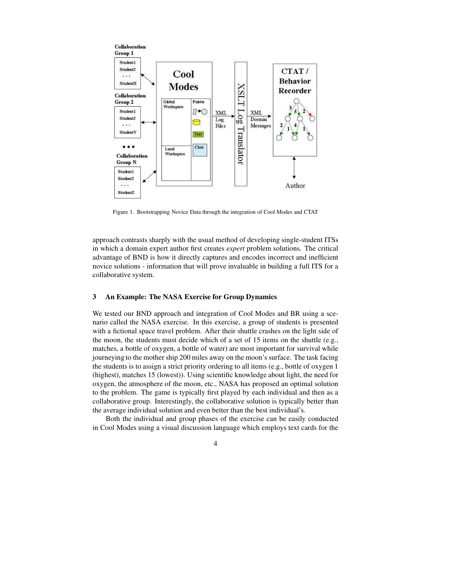

Figure 1. Bootstrapping Novice Data through the integration of Cool Modes and CTAT

approach contrasts sharply with the usual method of developing single-student ITSs in which a domain expert author first creates *expert* problem solutions. The critical advantage of BND is how it directly captures and encodes incorrect and inefficient novice solutions - information that will prove invaluable in building a full ITS for a collaborative system.

#### **3 An Example: The NASA Exercise for Group Dynamics**

We tested our BND approach and integration of Cool Modes and BR using a scenario called the NASA exercise. In this exercise, a group of students is presented with a fictional space travel problem. After their shuttle crashes on the light side of the moon, the students must decide which of a set of 15 items on the shuttle (e.g., matches, a bottle of oxygen, a bottle of water) are most important for survival while journeying to the mother ship 200 miles away on the moon's surface. The task facing the students is to assign a strict priority ordering to all items (e.g., bottle of oxygen 1 (highest), matches 15 (lowest)). Using scientific knowledge about light, the need for oxygen, the atmosphere of the moon, etc., NASA has proposed an optimal solution to the problem. The game is typically first played by each individual and then as a collaborative group. Interestingly, the collaborative solution is typically better than the average individual solution and even better than the best individual's.

Both the individual and group phases of the exercise can be easily conducted in Cool Modes using a visual discussion language which employs text cards for the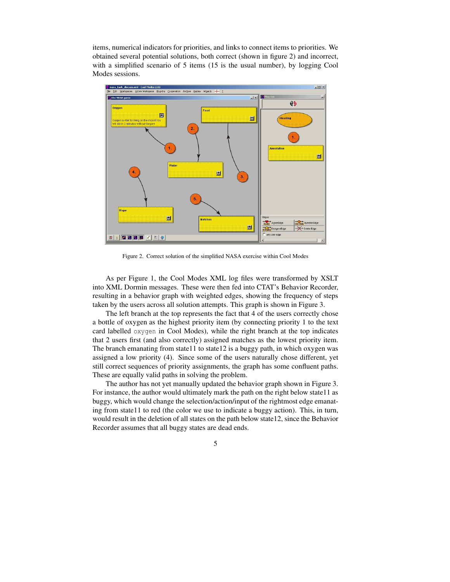items, numerical indicators for priorities, and links to connect items to priorities. We obtained several potential solutions, both correct (shown in figure 2) and incorrect, with a simplified scenario of 5 items (15 is the usual number), by logging Cool Modes sessions.



Figure 2. Correct solution of the simplified NASA exercise within Cool Modes

As per Figure 1, the Cool Modes XML log files were transformed by XSLT into XML Dormin messages. These were then fed into CTAT's Behavior Recorder, resulting in a behavior graph with weighted edges, showing the frequency of steps taken by the users across all solution attempts. This graph is shown in Figure 3.

The left branch at the top represents the fact that 4 of the users correctly chose a bottle of oxygen as the highest priority item (by connecting priority 1 to the text card labelled oxygen in Cool Modes), while the right branch at the top indicates that 2 users first (and also correctly) assigned matches as the lowest priority item. The branch emanating from state11 to state12 is a buggy path, in which oxygen was assigned a low priority (4). Since some of the users naturally chose different, yet still correct sequences of priority assignments, the graph has some confluent paths. These are equally valid paths in solving the problem.

The author has not yet manually updated the behavior graph shown in Figure 3. For instance, the author would ultimately mark the path on the right below state11 as buggy, which would change the selection/action/input of the rightmost edge emanating from state11 to red (the color we use to indicate a buggy action). This, in turn, would result in the deletion of all states on the path below state12, since the Behavior Recorder assumes that all buggy states are dead ends.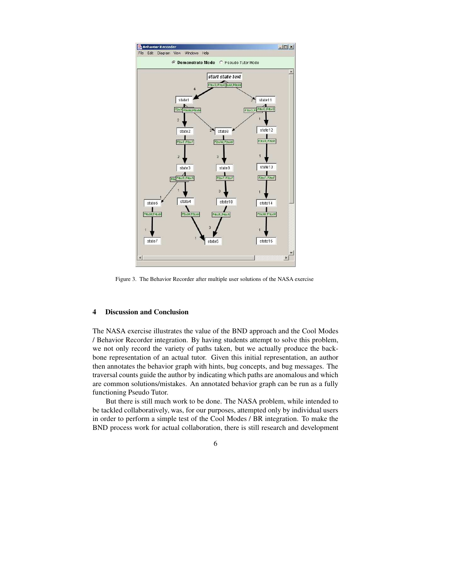

Figure 3. The Behavior Recorder after multiple user solutions of the NASA exercise

### **4 Discussion and Conclusion**

The NASA exercise illustrates the value of the BND approach and the Cool Modes / Behavior Recorder integration. By having students attempt to solve this problem, we not only record the variety of paths taken, but we actually produce the backbone representation of an actual tutor. Given this initial representation, an author then annotates the behavior graph with hints, bug concepts, and bug messages. The traversal counts guide the author by indicating which paths are anomalous and which are common solutions/mistakes. An annotated behavior graph can be run as a fully functioning Pseudo Tutor.

But there is still much work to be done. The NASA problem, while intended to be tackled collaboratively, was, for our purposes, attempted only by individual users in order to perform a simple test of the Cool Modes / BR integration. To make the BND process work for actual collaboration, there is still research and development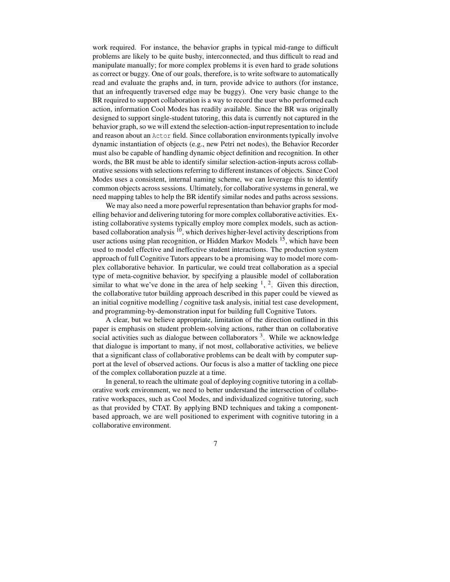work required. For instance, the behavior graphs in typical mid-range to difficult problems are likely to be quite bushy, interconnected, and thus difficult to read and manipulate manually; for more complex problems it is even hard to grade solutions as correct or buggy. One of our goals, therefore, is to write software to automatically read and evaluate the graphs and, in turn, provide advice to authors (for instance, that an infrequently traversed edge may be buggy). One very basic change to the BR required to support collaboration is a way to record the user who performed each action, information Cool Modes has readily available. Since the BR was originally designed to support single-student tutoring, this data is currently not captured in the behavior graph, so we will extend the selection-action-inputrepresentation to include and reason about an Actor field. Since collaboration environments typically involve dynamic instantiation of objects (e.g., new Petri net nodes), the Behavior Recorder must also be capable of handling dynamic object definition and recognition. In other words, the BR must be able to identify similar selection-action-inputs across collaborative sessions with selections referring to different instances of objects. Since Cool Modes uses a consistent, internal naming scheme, we can leverage this to identify common objects across sessions. Ultimately, for collaborative systems in general, we need mapping tables to help the BR identify similar nodes and paths across sessions.

We may also need a more powerful representation than behavior graphs for modelling behavior and delivering tutoring for more complex collaborative activities. Existing collaborative systems typically employ more complex models, such as actionbased collaboration analysis <sup>10</sup>, which derives higher-level activity descriptions from user actions using plan recognition, or Hidden Markov Models <sup>15</sup>, which have been used to model effective and ineffective student interactions. The production system approach of full Cognitive Tutors appears to be a promising way to model more complex collaborative behavior. In particular, we could treat collaboration as a special type of meta-cognitive behavior, by specifying a plausible model of collaboration similar to what we've done in the area of help seeking  $\frac{1}{2}$ ,  $\frac{2}{2}$ . Given this direction, the collaborative tutor building approach described in this paper could be viewed as an initial cognitive modelling / cognitive task analysis, initial test case development, and programming-by-demonstration input for building full Cognitive Tutors.

A clear, but we believe appropriate, limitation of the direction outlined in this paper is emphasis on student problem-solving actions, rather than on collaborative social activities such as dialogue between collaborators <sup>3</sup>. While we acknowledge that dialogue is important to many, if not most, collaborative activities, we believe that a significant class of collaborative problems can be dealt with by computer support at the level of observed actions. Our focus is also a matter of tackling one piece of the complex collaboration puzzle at a time.

In general, to reach the ultimate goal of deploying cognitive tutoring in a collaborative work environment, we need to better understand the intersection of collaborative workspaces, such as Cool Modes, and individualized cognitive tutoring, such as that provided by CTAT. By applying BND techniques and taking a componentbased approach, we are well positioned to experiment with cognitive tutoring in a collaborative environment.